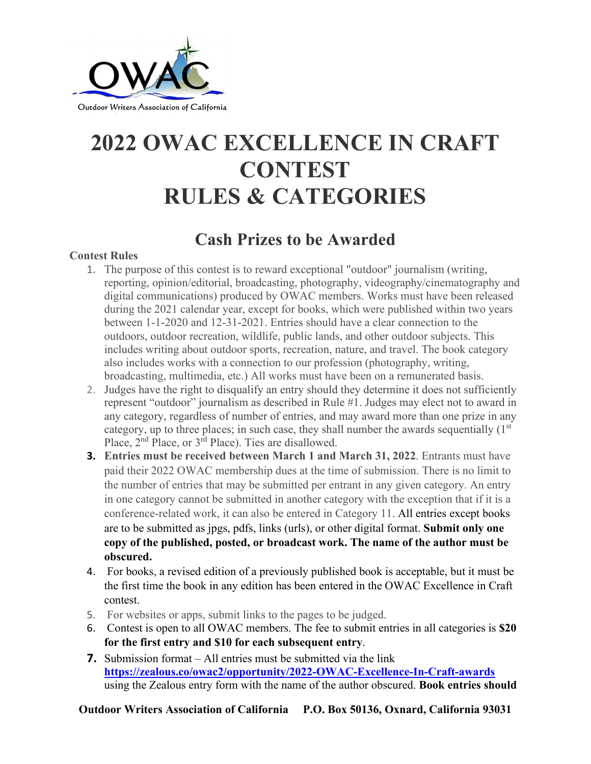

# **2022 OWAC EXCELLENCE IN CRAFT CONTEST RULES & CATEGORIES**

# **Cash Prizes to be Awarded**

## **Contest Rules**

- 1. The purpose of this contest is to reward exceptional "outdoor" journalism (writing, reporting, opinion/editorial, broadcasting, photography, videography/cinematography and digital communications) produced by OWAC members. Works must have been released during the 2021 calendar year, except for books, which were published within two years between 1-1-2020 and 12-31-2021. Entries should have a clear connection to the outdoors, outdoor recreation, wildlife, public lands, and other outdoor subjects. This includes writing about outdoor sports, recreation, nature, and travel. The book category also includes works with a connection to our profession (photography, writing, broadcasting, multimedia, etc.) All works must have been on a remunerated basis.
- 2. Judges have the right to disqualify an entry should they determine it does not sufficiently represent "outdoor" journalism as described in Rule #1. Judges may elect not to award in any category, regardless of number of entries, and may award more than one prize in any category, up to three places; in such case, they shall number the awards sequentially (1<sup>st</sup>) Place, 2nd Place, or 3rd Place). Ties are disallowed.
- **3. Entries must be received between March 1 and March 31, 2022**. Entrants must have paid their 2022 OWAC membership dues at the time of submission. There is no limit to the number of entries that may be submitted per entrant in any given category. An entry in one category cannot be submitted in another category with the exception that if it is a conference-related work, it can also be entered in Category 11. All entries except books are to be submitted as jpgs, pdfs, links (urls), or other digital format. **Submit only one copy of the published, posted, or broadcast work. The name of the author must be obscured.**
- 4. For books, a revised edition of a previously published book is acceptable, but it must be the first time the book in any edition has been entered in the OWAC Excellence in Craft contest.
- 5. For websites or apps, submit links to the pages to be judged.
- 6. Contest is open to all OWAC members. The fee to submit entries in all categories is **\$20 for the first entry and \$10 for each subsequent entry**.
- **7.** Submission format All entries must be submitted via the link **<https://zealous.co/owac2/opportunity/2022-OWAC-Excellence-In-Craft-awards>** using the Zealous entry form with the name of the author obscured. **Book entries should**

**Outdoor Writers Association of California P.O. Box 50136, Oxnard, California 93031**